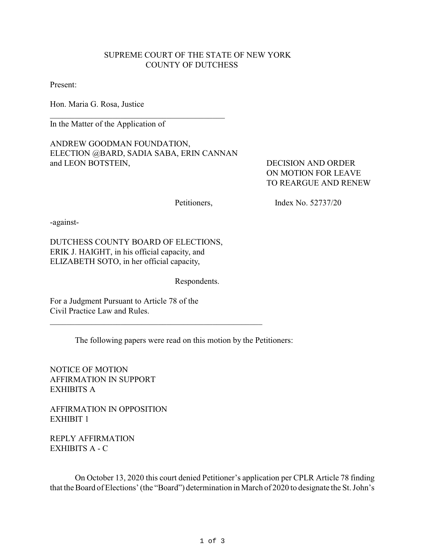## SUPREME COURT OF THE STATE OF NEW YORK COUNTY OF DUTCHESS

Present:

Hon. Maria G. Rosa, Justice

In the Matter of the Application of

ANDREW GOODMAN FOUNDATION, ELECTION @BARD, SADIA SABA, ERIN CANNAN and LEON BOTSTEIN, DECISION AND ORDER

 $\mathcal{L}_\mathcal{L}$  , which is a set of the set of the set of the set of the set of the set of the set of the set of the set of the set of the set of the set of the set of the set of the set of the set of the set of the set of

 ON MOTION FOR LEAVE TO REARGUE AND RENEW

Petitioners, Index No. 52737/20

-against-

DUTCHESS COUNTY BOARD OF ELECTIONS, ERIK J. HAIGHT, in his official capacity, and ELIZABETH SOTO, in her official capacity,

Respondents.

For a Judgment Pursuant to Article 78 of the Civil Practice Law and Rules.

The following papers were read on this motion by the Petitioners:

\_\_\_\_\_\_\_\_\_\_\_\_\_\_\_\_\_\_\_\_\_\_\_\_\_\_\_\_\_\_\_\_\_\_\_\_\_\_\_\_\_\_\_\_\_\_\_\_\_\_\_

NOTICE OF MOTION AFFIRMATION IN SUPPORT EXHIBITS A

AFFIRMATION IN OPPOSITION EXHIBIT 1

REPLY AFFIRMATION EXHIBITS A - C

On October 13, 2020 this court denied Petitioner's application per CPLR Article 78 finding that the Board of Elections' (the "Board") determination in March of 2020 to designate the St. John's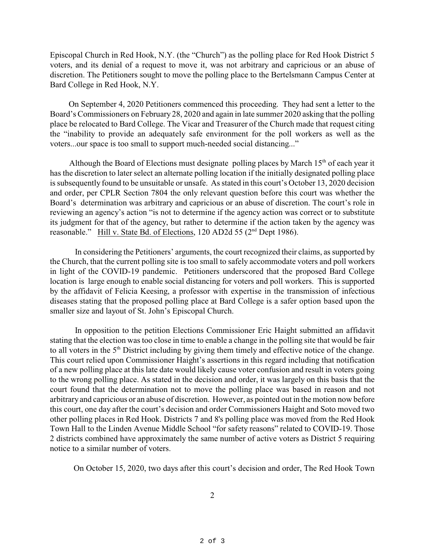Episcopal Church in Red Hook, N.Y. (the "Church") as the polling place for Red Hook District 5 voters, and its denial of a request to move it, was not arbitrary and capricious or an abuse of discretion. The Petitioners sought to move the polling place to the Bertelsmann Campus Center at Bard College in Red Hook, N.Y.

 On September 4, 2020 Petitioners commenced this proceeding. They had sent a letter to the Board's Commissioners on February 28, 2020 and again in late summer 2020 asking that the polling place be relocated to Bard College. The Vicar and Treasurer of the Church made that request citing the "inability to provide an adequately safe environment for the poll workers as well as the voters...our space is too small to support much-needed social distancing..."

Although the Board of Elections must designate polling places by March  $15<sup>th</sup>$  of each year it has the discretion to later select an alternate polling location if the initially designated polling place is subsequently found to be unsuitable or unsafe. As stated in this court's October 13, 2020 decision and order, per CPLR Section 7804 the only relevant question before this court was whether the Board's determination was arbitrary and capricious or an abuse of discretion. The court's role in reviewing an agency's action "is not to determine if the agency action was correct or to substitute its judgment for that of the agency, but rather to determine if the action taken by the agency was reasonable." Hill v. State Bd. of Elections, 120 AD2d 55 (2<sup>nd</sup> Dept 1986).

In considering the Petitioners' arguments, the court recognized their claims, as supported by the Church, that the current polling site is too small to safely accommodate voters and poll workers in light of the COVID-19 pandemic. Petitioners underscored that the proposed Bard College location is large enough to enable social distancing for voters and poll workers. This is supported by the affidavit of Felicia Keesing, a professor with expertise in the transmission of infectious diseases stating that the proposed polling place at Bard College is a safer option based upon the smaller size and layout of St. John's Episcopal Church.

In opposition to the petition Elections Commissioner Eric Haight submitted an affidavit stating that the election was too close in time to enable a change in the polling site that would be fair to all voters in the  $5<sup>th</sup>$  District including by giving them timely and effective notice of the change. This court relied upon Commissioner Haight's assertions in this regard including that notification of a new polling place at this late date would likely cause voter confusion and result in voters going to the wrong polling place. As stated in the decision and order, it was largely on this basis that the court found that the determination not to move the polling place was based in reason and not arbitrary and capricious or an abuse of discretion. However, as pointed out in the motion now before this court, one day after the court's decision and order Commissioners Haight and Soto moved two other polling places in Red Hook. Districts 7 and 8's polling place was moved from the Red Hook Town Hall to the Linden Avenue Middle School "for safety reasons" related to COVID-19. Those 2 districts combined have approximately the same number of active voters as District 5 requiring notice to a similar number of voters.

On October 15, 2020, two days after this court's decision and order, The Red Hook Town